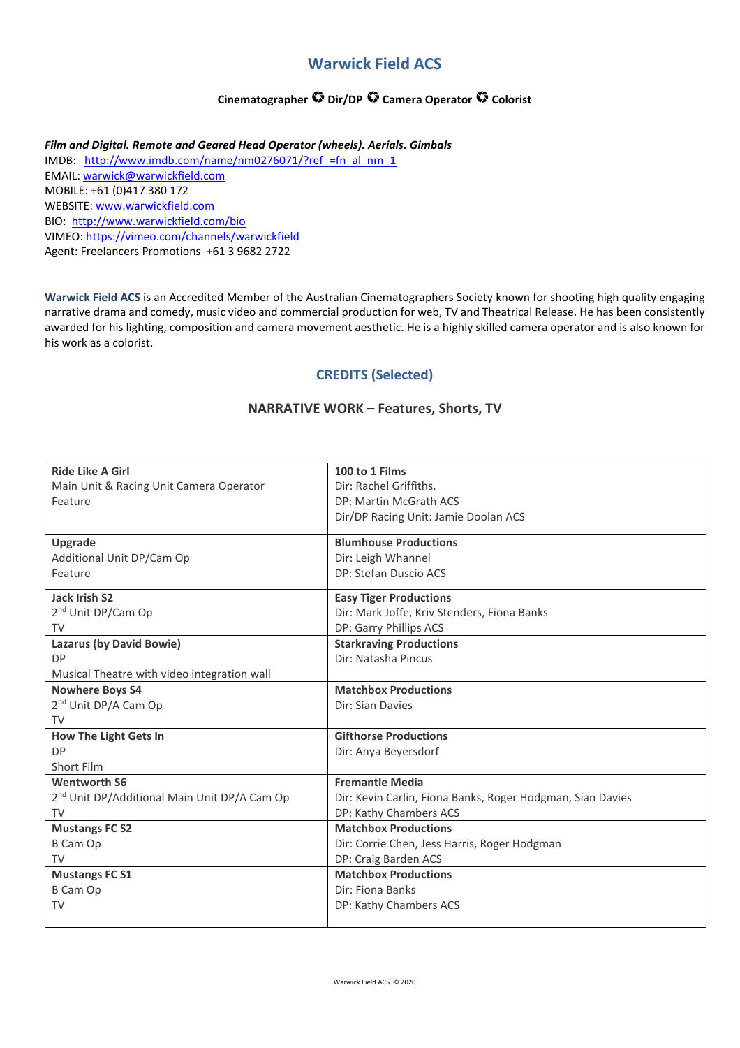## **Warwick Field ACS**

## **Cinematographer Dir/DP Camera Operator Colorist**

*Film and Digital. Remote and Geared Head Operator (wheels). Aerials. Gimbals*  IMDB: http://www.imdb.com/name/nm0276071/?ref\_=fn\_al\_nm\_1 EMAIL: warwick@warwickfield.com MOBILE: +61 (0)417 380 172 WEBSITE: www.warwickfield.com BIO: http://www.warwickfield.com/bio VIMEO: https://vimeo.com/channels/warwickfield Agent: Freelancers Promotions +61 3 9682 2722

**Warwick Field ACS** is an Accredited Member of the Australian Cinematographers Society known for shooting high quality engaging narrative drama and comedy, music video and commercial production for web, TV and Theatrical Release. He has been consistently awarded for his lighting, composition and camera movement aesthetic. He is a highly skilled camera operator and is also known for his work as a colorist.

## **CREDITS (Selected)**

#### **NARRATIVE WORK – Features, Shorts, TV**

| <b>Ride Like A Girl</b>                                  | 100 to 1 Films                                             |
|----------------------------------------------------------|------------------------------------------------------------|
| Main Unit & Racing Unit Camera Operator                  | Dir: Rachel Griffiths.                                     |
| Feature                                                  | DP: Martin McGrath ACS                                     |
|                                                          | Dir/DP Racing Unit: Jamie Doolan ACS                       |
|                                                          | <b>Blumhouse Productions</b>                               |
| <b>Upgrade</b>                                           |                                                            |
| Additional Unit DP/Cam Op                                | Dir: Leigh Whannel<br>DP: Stefan Duscio ACS                |
| Feature                                                  |                                                            |
| <b>Jack Irish S2</b>                                     | <b>Easy Tiger Productions</b>                              |
| 2 <sup>nd</sup> Unit DP/Cam Op                           | Dir: Mark Joffe, Kriv Stenders, Fiona Banks                |
| TV                                                       | DP: Garry Phillips ACS                                     |
| Lazarus (by David Bowie)                                 | <b>Starkraving Productions</b>                             |
| <b>DP</b>                                                | Dir: Natasha Pincus                                        |
| Musical Theatre with video integration wall              |                                                            |
| <b>Nowhere Boys S4</b>                                   | <b>Matchbox Productions</b>                                |
| 2 <sup>nd</sup> Unit DP/A Cam Op                         | Dir: Sian Davies                                           |
| <b>TV</b>                                                |                                                            |
| <b>How The Light Gets In</b>                             | <b>Gifthorse Productions</b>                               |
| <b>DP</b>                                                | Dir: Anya Beyersdorf                                       |
| Short Film                                               |                                                            |
| <b>Wentworth S6</b>                                      | <b>Fremantle Media</b>                                     |
| 2 <sup>nd</sup> Unit DP/Additional Main Unit DP/A Cam Op | Dir: Kevin Carlin, Fiona Banks, Roger Hodgman, Sian Davies |
| TV                                                       | DP: Kathy Chambers ACS                                     |
| <b>Mustangs FC S2</b>                                    | <b>Matchbox Productions</b>                                |
| <b>B Cam Op</b>                                          | Dir: Corrie Chen, Jess Harris, Roger Hodgman               |
| TV                                                       | DP: Craig Barden ACS                                       |
| <b>Mustangs FC S1</b>                                    | <b>Matchbox Productions</b>                                |
| <b>B Cam Op</b>                                          | Dir: Fiona Banks                                           |
| TV                                                       | DP: Kathy Chambers ACS                                     |
|                                                          |                                                            |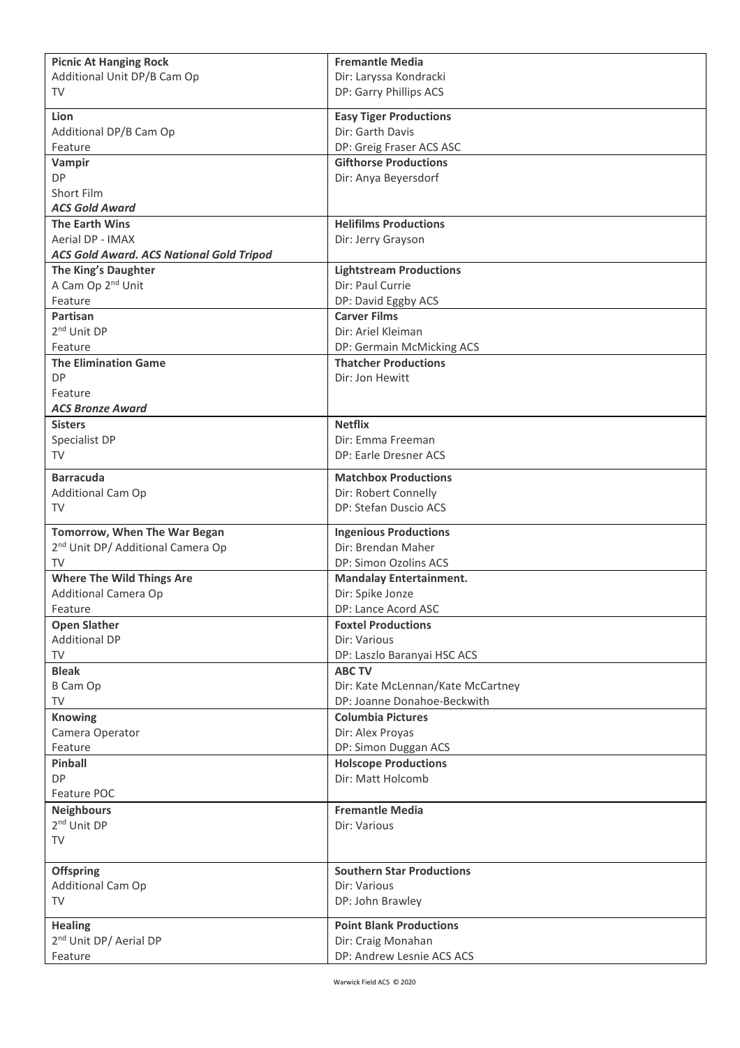| <b>Picnic At Hanging Rock</b>                   | <b>Fremantle Media</b>                           |
|-------------------------------------------------|--------------------------------------------------|
| Additional Unit DP/B Cam Op                     | Dir: Laryssa Kondracki                           |
| TV                                              | DP: Garry Phillips ACS                           |
| Lion                                            | <b>Easy Tiger Productions</b>                    |
| Additional DP/B Cam Op                          | Dir: Garth Davis                                 |
| Feature                                         | DP: Greig Fraser ACS ASC                         |
| Vampir                                          | <b>Gifthorse Productions</b>                     |
| <b>DP</b>                                       | Dir: Anya Beyersdorf                             |
| Short Film                                      |                                                  |
| <b>ACS Gold Award</b>                           |                                                  |
| <b>The Earth Wins</b>                           | <b>Helifilms Productions</b>                     |
| Aerial DP - IMAX                                | Dir: Jerry Grayson                               |
| <b>ACS Gold Award. ACS National Gold Tripod</b> |                                                  |
| The King's Daughter                             | <b>Lightstream Productions</b>                   |
| A Cam Op 2 <sup>nd</sup> Unit                   | Dir: Paul Currie                                 |
| Feature                                         | DP: David Eggby ACS                              |
| Partisan                                        | <b>Carver Films</b>                              |
| 2 <sup>nd</sup> Unit DP                         | Dir: Ariel Kleiman                               |
| Feature                                         | DP: Germain McMicking ACS                        |
| <b>The Elimination Game</b>                     | <b>Thatcher Productions</b>                      |
| <b>DP</b>                                       | Dir: Jon Hewitt                                  |
| Feature                                         |                                                  |
| <b>ACS Bronze Award</b>                         |                                                  |
| <b>Sisters</b>                                  | <b>Netflix</b>                                   |
| Specialist DP                                   | Dir: Emma Freeman                                |
| TV                                              | DP: Earle Dresner ACS                            |
| <b>Barracuda</b>                                | <b>Matchbox Productions</b>                      |
| Additional Cam Op                               | Dir: Robert Connelly                             |
| TV                                              | DP: Stefan Duscio ACS                            |
|                                                 |                                                  |
| Tomorrow, When The War Began                    | <b>Ingenious Productions</b>                     |
| 2 <sup>nd</sup> Unit DP/ Additional Camera Op   | Dir: Brendan Maher                               |
| TV                                              | DP: Simon Ozolins ACS                            |
| <b>Where The Wild Things Are</b>                | <b>Mandalay Entertainment.</b>                   |
| <b>Additional Camera Op</b>                     | Dir: Spike Jonze                                 |
| Feature                                         | DP: Lance Acord ASC                              |
| <b>Open Slather</b>                             | <b>Foxtel Productions</b>                        |
| <b>Additional DP</b>                            | Dir: Various                                     |
| TV                                              | DP: Laszlo Baranyai HSC ACS                      |
| <b>Bleak</b>                                    | <b>ABC TV</b>                                    |
| B Cam Op                                        | Dir: Kate McLennan/Kate McCartney                |
| TV                                              | DP: Joanne Donahoe-Beckwith                      |
| <b>Knowing</b>                                  | <b>Columbia Pictures</b>                         |
| Camera Operator                                 | Dir: Alex Proyas                                 |
| Feature                                         | DP: Simon Duggan ACS                             |
| Pinball                                         | <b>Holscope Productions</b><br>Dir: Matt Holcomb |
| DP<br>Feature POC                               |                                                  |
| <b>Neighbours</b>                               | <b>Fremantle Media</b>                           |
| 2 <sup>nd</sup> Unit DP                         | Dir: Various                                     |
| TV                                              |                                                  |
|                                                 |                                                  |
| <b>Offspring</b>                                | <b>Southern Star Productions</b>                 |
| Additional Cam Op                               | Dir: Various                                     |
| <b>TV</b>                                       | DP: John Brawley                                 |
|                                                 |                                                  |
| <b>Healing</b>                                  | <b>Point Blank Productions</b>                   |
| 2 <sup>nd</sup> Unit DP/ Aerial DP              | Dir: Craig Monahan                               |
| Feature                                         | DP: Andrew Lesnie ACS ACS                        |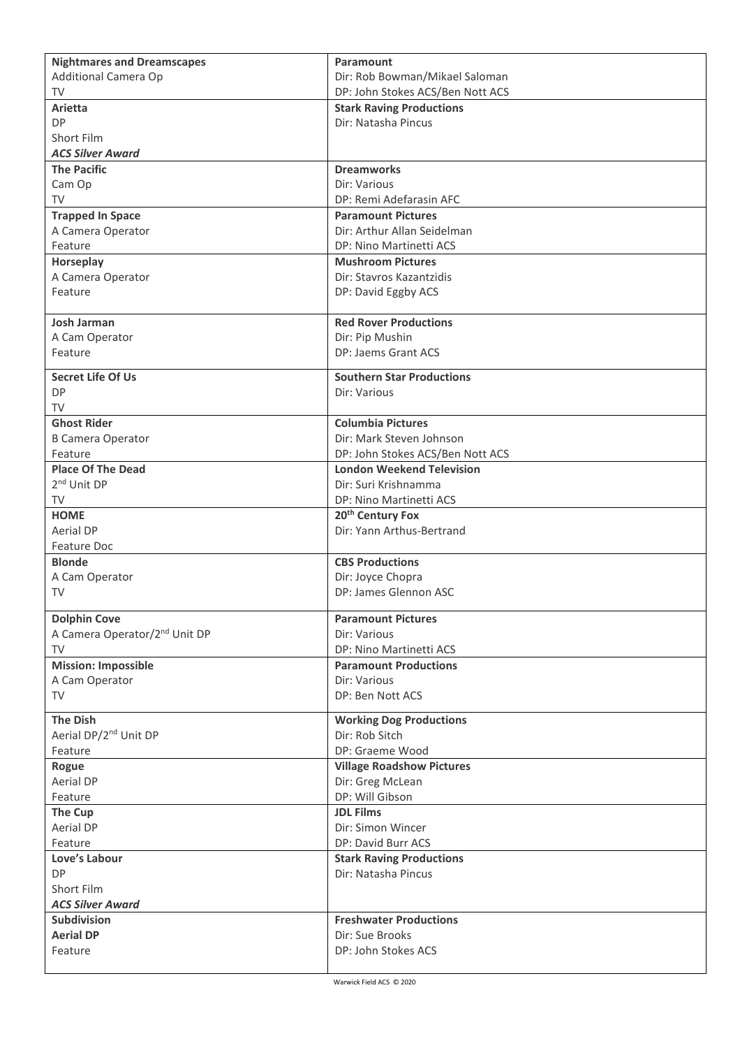| <b>Nightmares and Dreamscapes</b>         | Paramount                        |
|-------------------------------------------|----------------------------------|
| Additional Camera Op                      | Dir: Rob Bowman/Mikael Saloman   |
| <b>TV</b>                                 | DP: John Stokes ACS/Ben Nott ACS |
| Arietta                                   | <b>Stark Raving Productions</b>  |
| <b>DP</b>                                 | Dir: Natasha Pincus              |
| Short Film                                |                                  |
| <b>ACS Silver Award</b>                   |                                  |
| <b>The Pacific</b>                        | <b>Dreamworks</b>                |
| Cam Op                                    | Dir: Various                     |
| TV                                        | DP: Remi Adefarasin AFC          |
| <b>Trapped In Space</b>                   | <b>Paramount Pictures</b>        |
| A Camera Operator                         | Dir: Arthur Allan Seidelman      |
| Feature                                   | DP: Nino Martinetti ACS          |
| Horseplay                                 | <b>Mushroom Pictures</b>         |
| A Camera Operator                         | Dir: Stavros Kazantzidis         |
| Feature                                   | DP: David Eggby ACS              |
|                                           |                                  |
| <b>Josh Jarman</b>                        | <b>Red Rover Productions</b>     |
| A Cam Operator                            | Dir: Pip Mushin                  |
| Feature                                   | DP: Jaems Grant ACS              |
|                                           |                                  |
| <b>Secret Life Of Us</b>                  | <b>Southern Star Productions</b> |
| <b>DP</b>                                 | Dir: Various                     |
| <b>TV</b>                                 |                                  |
| <b>Ghost Rider</b>                        | <b>Columbia Pictures</b>         |
| <b>B Camera Operator</b>                  | Dir: Mark Steven Johnson         |
| Feature                                   | DP: John Stokes ACS/Ben Nott ACS |
| <b>Place Of The Dead</b>                  | <b>London Weekend Television</b> |
| 2 <sup>nd</sup> Unit DP                   | Dir: Suri Krishnamma             |
| TV                                        | DP: Nino Martinetti ACS          |
| <b>HOME</b>                               | 20 <sup>th</sup> Century Fox     |
| <b>Aerial DP</b>                          | Dir: Yann Arthus-Bertrand        |
| Feature Doc                               |                                  |
| <b>Blonde</b>                             | <b>CBS Productions</b>           |
| A Cam Operator                            | Dir: Joyce Chopra                |
| TV                                        | DP: James Glennon ASC            |
| <b>Dolphin Cove</b>                       | <b>Paramount Pictures</b>        |
| A Camera Operator/2 <sup>nd</sup> Unit DP | Dir: Various                     |
| TV                                        | DP: Nino Martinetti ACS          |
| <b>Mission: Impossible</b>                | <b>Paramount Productions</b>     |
| A Cam Operator                            | Dir: Various                     |
| TV                                        | DP: Ben Nott ACS                 |
|                                           |                                  |
| <b>The Dish</b>                           | <b>Working Dog Productions</b>   |
| Aerial DP/2 <sup>nd</sup> Unit DP         | Dir: Rob Sitch                   |
| Feature                                   | DP: Graeme Wood                  |
| Rogue                                     | <b>Village Roadshow Pictures</b> |
| Aerial DP                                 | Dir: Greg McLean                 |
| Feature                                   | DP: Will Gibson                  |
| The Cup                                   | <b>JDL Films</b>                 |
| Aerial DP                                 | Dir: Simon Wincer                |
| Feature                                   | DP: David Burr ACS               |
| Love's Labour                             | <b>Stark Raving Productions</b>  |
| <b>DP</b>                                 | Dir: Natasha Pincus              |
| Short Film                                |                                  |
| <b>ACS Silver Award</b>                   |                                  |
| <b>Subdivision</b>                        | <b>Freshwater Productions</b>    |
| <b>Aerial DP</b>                          | Dir: Sue Brooks                  |
| Feature                                   | DP: John Stokes ACS              |
|                                           |                                  |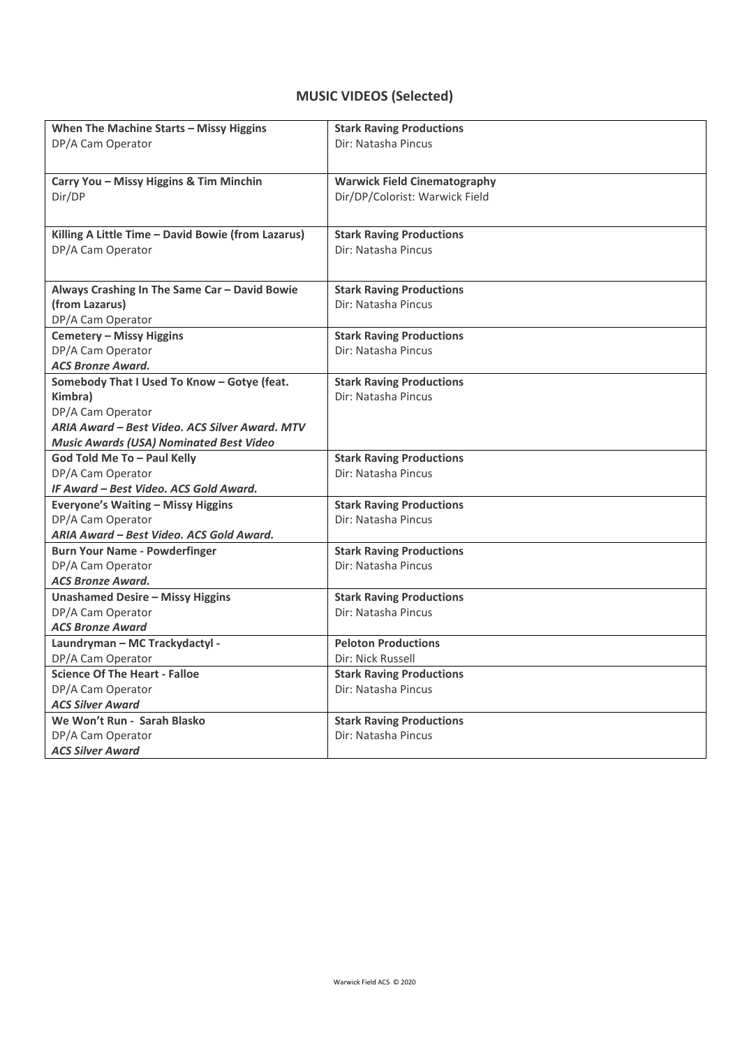# **MUSIC VIDEOS (Selected)**

| When The Machine Starts - Missy Higgins            | <b>Stark Raving Productions</b>                                       |
|----------------------------------------------------|-----------------------------------------------------------------------|
| DP/A Cam Operator                                  | Dir: Natasha Pincus                                                   |
|                                                    |                                                                       |
|                                                    |                                                                       |
| Carry You - Missy Higgins & Tim Minchin<br>Dir/DP  | <b>Warwick Field Cinematography</b><br>Dir/DP/Colorist: Warwick Field |
|                                                    |                                                                       |
|                                                    |                                                                       |
| Killing A Little Time - David Bowie (from Lazarus) | <b>Stark Raving Productions</b>                                       |
| DP/A Cam Operator                                  | Dir: Natasha Pincus                                                   |
|                                                    |                                                                       |
| Always Crashing In The Same Car - David Bowie      | <b>Stark Raving Productions</b>                                       |
| (from Lazarus)                                     | Dir: Natasha Pincus                                                   |
| DP/A Cam Operator                                  |                                                                       |
| <b>Cemetery - Missy Higgins</b>                    | <b>Stark Raving Productions</b>                                       |
| DP/A Cam Operator                                  | Dir: Natasha Pincus                                                   |
| <b>ACS Bronze Award.</b>                           |                                                                       |
| Somebody That I Used To Know - Gotye (feat.        | <b>Stark Raving Productions</b>                                       |
| Kimbra)                                            | Dir: Natasha Pincus                                                   |
| DP/A Cam Operator                                  |                                                                       |
| ARIA Award – Best Video, ACS Silver Award, MTV     |                                                                       |
| <b>Music Awards (USA) Nominated Best Video</b>     |                                                                       |
| God Told Me To - Paul Kelly                        | <b>Stark Raving Productions</b>                                       |
| DP/A Cam Operator                                  | Dir: Natasha Pincus                                                   |
| IF Award - Best Video. ACS Gold Award.             |                                                                       |
| <b>Everyone's Waiting - Missy Higgins</b>          | <b>Stark Raving Productions</b>                                       |
| DP/A Cam Operator                                  | Dir: Natasha Pincus                                                   |
| ARIA Award - Best Video. ACS Gold Award.           |                                                                       |
| <b>Burn Your Name - Powderfinger</b>               | <b>Stark Raving Productions</b>                                       |
| DP/A Cam Operator                                  | Dir: Natasha Pincus                                                   |
| <b>ACS Bronze Award.</b>                           |                                                                       |
| <b>Unashamed Desire - Missy Higgins</b>            | <b>Stark Raving Productions</b>                                       |
| DP/A Cam Operator                                  | Dir: Natasha Pincus                                                   |
| <b>ACS Bronze Award</b>                            |                                                                       |
| Laundryman - MC Trackydactyl -                     | <b>Peloton Productions</b>                                            |
| DP/A Cam Operator                                  | Dir: Nick Russell                                                     |
| <b>Science Of The Heart - Falloe</b>               | <b>Stark Raving Productions</b>                                       |
| DP/A Cam Operator                                  | Dir: Natasha Pincus                                                   |
| <b>ACS Silver Award</b>                            |                                                                       |
| We Won't Run - Sarah Blasko                        | <b>Stark Raving Productions</b>                                       |
| DP/A Cam Operator                                  | Dir: Natasha Pincus                                                   |
| <b>ACS Silver Award</b>                            |                                                                       |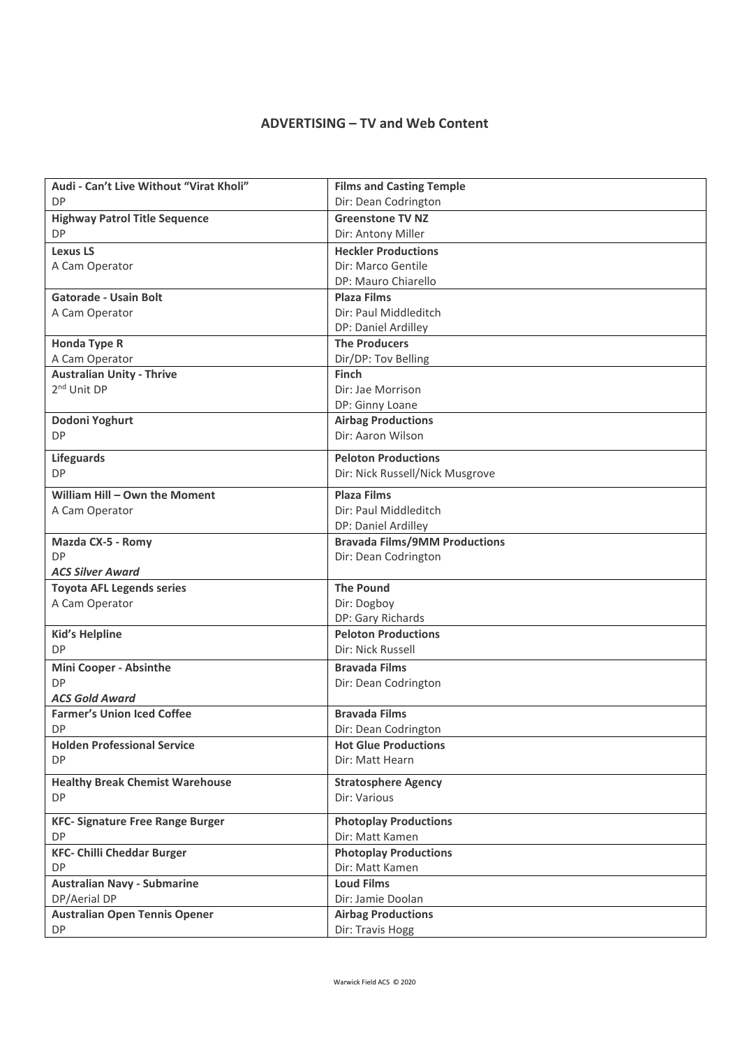### **ADVERTISING – TV and Web Content**

| Audi - Can't Live Without "Virat Kholi" | <b>Films and Casting Temple</b>      |
|-----------------------------------------|--------------------------------------|
| <b>DP</b>                               | Dir: Dean Codrington                 |
|                                         |                                      |
| <b>Highway Patrol Title Sequence</b>    | <b>Greenstone TV NZ</b>              |
| <b>DP</b>                               | Dir: Antony Miller                   |
| <b>Lexus LS</b>                         | <b>Heckler Productions</b>           |
| A Cam Operator                          | Dir: Marco Gentile                   |
|                                         | DP: Mauro Chiarello                  |
| <b>Gatorade - Usain Bolt</b>            | <b>Plaza Films</b>                   |
| A Cam Operator                          | Dir: Paul Middleditch                |
|                                         | DP: Daniel Ardilley                  |
| <b>Honda Type R</b>                     | <b>The Producers</b>                 |
| A Cam Operator                          | Dir/DP: Tov Belling                  |
| <b>Australian Unity - Thrive</b>        | <b>Finch</b>                         |
| 2 <sup>nd</sup> Unit DP                 | Dir: Jae Morrison                    |
|                                         | DP: Ginny Loane                      |
| Dodoni Yoghurt                          | <b>Airbag Productions</b>            |
| <b>DP</b>                               | Dir: Aaron Wilson                    |
|                                         |                                      |
| <b>Lifeguards</b>                       | <b>Peloton Productions</b>           |
| <b>DP</b>                               | Dir: Nick Russell/Nick Musgrove      |
| William Hill - Own the Moment           | <b>Plaza Films</b>                   |
| A Cam Operator                          | Dir: Paul Middleditch                |
|                                         | DP: Daniel Ardilley                  |
| Mazda CX-5 - Romy                       | <b>Bravada Films/9MM Productions</b> |
| <b>DP</b>                               | Dir: Dean Codrington                 |
| <b>ACS Silver Award</b>                 |                                      |
| <b>Toyota AFL Legends series</b>        | <b>The Pound</b>                     |
| A Cam Operator                          | Dir: Dogboy                          |
|                                         | DP: Gary Richards                    |
| <b>Kid's Helpline</b>                   | <b>Peloton Productions</b>           |
| <b>DP</b>                               | Dir: Nick Russell                    |
|                                         |                                      |
| <b>Mini Cooper - Absinthe</b>           | <b>Bravada Films</b>                 |
| <b>DP</b>                               | Dir: Dean Codrington                 |
| <b>ACS Gold Award</b>                   |                                      |
| <b>Farmer's Union Iced Coffee</b>       | <b>Bravada Films</b>                 |
| DP                                      | Dir: Dean Codrington                 |
| <b>Holden Professional Service</b>      | <b>Hot Glue Productions</b>          |
| <b>DP</b>                               | Dir: Matt Hearn                      |
| <b>Healthy Break Chemist Warehouse</b>  | <b>Stratosphere Agency</b>           |
| <b>DP</b>                               | Dir: Various                         |
| <b>KFC- Signature Free Range Burger</b> | <b>Photoplay Productions</b>         |
| <b>DP</b>                               | Dir: Matt Kamen                      |
| <b>KFC- Chilli Cheddar Burger</b>       | <b>Photoplay Productions</b>         |
| DP                                      | Dir: Matt Kamen                      |
| <b>Australian Navy - Submarine</b>      | <b>Loud Films</b>                    |
| DP/Aerial DP                            | Dir: Jamie Doolan                    |
|                                         | <b>Airbag Productions</b>            |
| <b>Australian Open Tennis Opener</b>    |                                      |
| DP                                      | Dir: Travis Hogg                     |